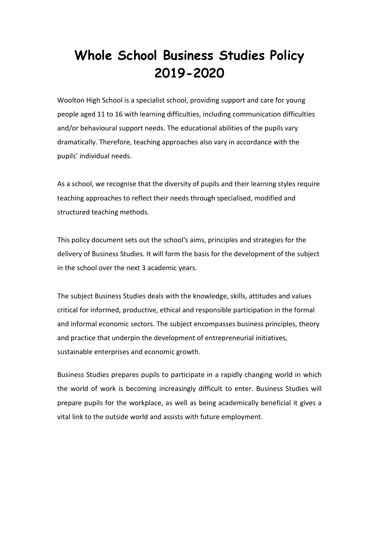# **Whole School Business Studies Policy 2019-2020**

Woolton High School is a specialist school, providing support and care for young people aged 11 to 16 with learning difficulties, including communication difficulties and/or behavioural support needs. The educational abilities of the pupils vary dramatically. Therefore, teaching approaches also vary in accordance with the pupils' individual needs.

As a school, we recognise that the diversity of pupils and their learning styles require teaching approaches to reflect their needs through specialised, modified and structured teaching methods.

This policy document sets out the school's aims, principles and strategies for the delivery of Business Studies. It will form the basis for the development of the subject in the school over the next 3 academic years.

The subject Business Studies deals with the knowledge, skills, attitudes and values critical for informed, productive, ethical and responsible participation in the formal and informal economic sectors. The subject encompasses business principles, theory and practice that underpin the development of entrepreneurial initiatives, sustainable enterprises and economic growth.

Business Studies prepares pupils to participate in a rapidly changing world in which the world of work is becoming increasingly difficult to enter. Business Studies will prepare pupils for the workplace, as well as being academically beneficial it gives a vital link to the outside world and assists with future employment.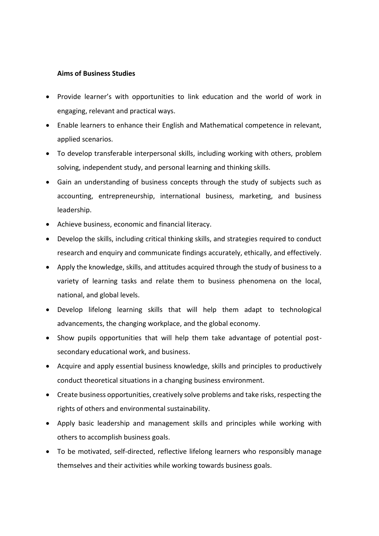## **Aims of Business Studies**

- Provide learner's with opportunities to link education and the world of work in engaging, relevant and practical ways.
- Enable learners to enhance their English and Mathematical competence in relevant, applied scenarios.
- To develop transferable interpersonal skills, including working with others, problem solving, independent study, and personal learning and thinking skills.
- Gain an understanding of business concepts through the study of subjects such as accounting, entrepreneurship, international business, marketing, and business leadership.
- Achieve business, economic and financial literacy.
- Develop the skills, including critical thinking skills, and strategies required to conduct research and enquiry and communicate findings accurately, ethically, and effectively.
- Apply the knowledge, skills, and attitudes acquired through the study of business to a variety of learning tasks and relate them to business phenomena on the local, national, and global levels.
- Develop lifelong learning skills that will help them adapt to technological advancements, the changing workplace, and the global economy.
- Show pupils opportunities that will help them take advantage of potential postsecondary educational work, and business.
- Acquire and apply essential business knowledge, skills and principles to productively conduct theoretical situations in a changing business environment.
- Create business opportunities, creatively solve problems and take risks, respecting the rights of others and environmental sustainability.
- Apply basic leadership and management skills and principles while working with others to accomplish business goals.
- To be motivated, self-directed, reflective lifelong learners who responsibly manage themselves and their activities while working towards business goals.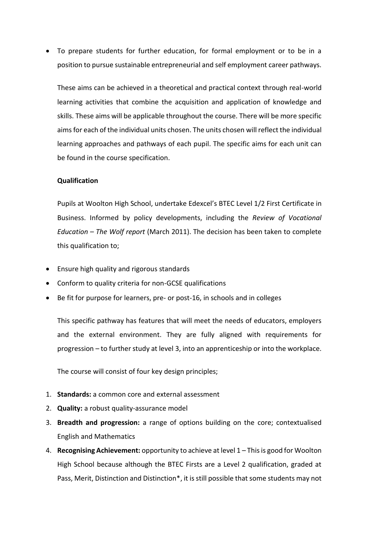To prepare students for further education, for formal employment or to be in a position to pursue sustainable entrepreneurial and self employment career pathways.

These aims can be achieved in a theoretical and practical context through real-world learning activities that combine the acquisition and application of knowledge and skills. These aims will be applicable throughout the course. There will be more specific aims for each of the individual units chosen. The units chosen will reflect the individual learning approaches and pathways of each pupil. The specific aims for each unit can be found in the course specification.

#### **Qualification**

Pupils at Woolton High School, undertake Edexcel's BTEC Level 1/2 First Certificate in Business. Informed by policy developments, including the *Review of Vocational Education – The Wolf report* (March 2011). The decision has been taken to complete this qualification to;

- Ensure high quality and rigorous standards
- Conform to quality criteria for non-GCSE qualifications
- Be fit for purpose for learners, pre- or post-16, in schools and in colleges

This specific pathway has features that will meet the needs of educators, employers and the external environment. They are fully aligned with requirements for progression – to further study at level 3, into an apprenticeship or into the workplace.

The course will consist of four key design principles;

- 1. **Standards:** a common core and external assessment
- 2. **Quality:** a robust quality-assurance model
- 3. **Breadth and progression:** a range of options building on the core; contextualised English and Mathematics
- 4. **Recognising Achievement:** opportunity to achieve at level 1 This is good for Woolton High School because although the BTEC Firsts are a Level 2 qualification, graded at Pass, Merit, Distinction and Distinction\*, it is still possible that some students may not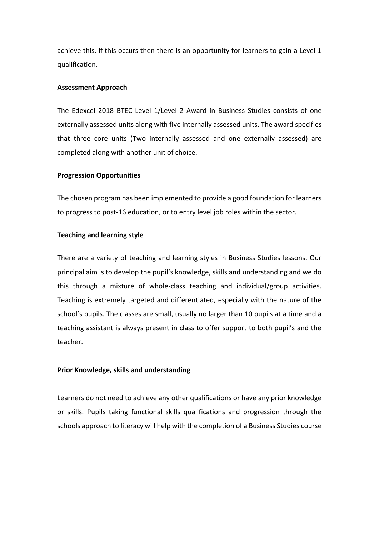achieve this. If this occurs then there is an opportunity for learners to gain a Level 1 qualification.

## **Assessment Approach**

The Edexcel 2018 BTEC Level 1/Level 2 Award in Business Studies consists of one externally assessed units along with five internally assessed units. The award specifies that three core units (Two internally assessed and one externally assessed) are completed along with another unit of choice.

## **Progression Opportunities**

The chosen program has been implemented to provide a good foundation for learners to progress to post-16 education, or to entry level job roles within the sector.

## **Teaching and learning style**

There are a variety of teaching and learning styles in Business Studies lessons. Our principal aim is to develop the pupil's knowledge, skills and understanding and we do this through a mixture of whole-class teaching and individual/group activities. Teaching is extremely targeted and differentiated, especially with the nature of the school's pupils. The classes are small, usually no larger than 10 pupils at a time and a teaching assistant is always present in class to offer support to both pupil's and the teacher.

## **Prior Knowledge, skills and understanding**

Learners do not need to achieve any other qualifications or have any prior knowledge or skills. Pupils taking functional skills qualifications and progression through the schools approach to literacy will help with the completion of a Business Studies course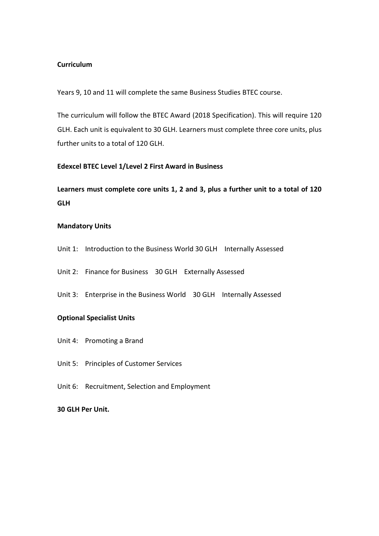## **Curriculum**

Years 9, 10 and 11 will complete the same Business Studies BTEC course.

The curriculum will follow the BTEC Award (2018 Specification). This will require 120 GLH. Each unit is equivalent to 30 GLH. Learners must complete three core units, plus further units to a total of 120 GLH.

#### **Edexcel BTEC Level 1/Level 2 First Award in Business**

**Learners must complete core units 1, 2 and 3, plus a further unit to a total of 120 GLH**

## **Mandatory Units**

- Unit 1: Introduction to the Business World 30 GLH Internally Assessed
- Unit 2: Finance for Business 30 GLH Externally Assessed
- Unit 3: Enterprise in the Business World 30 GLH Internally Assessed

#### **Optional Specialist Units**

- Unit 4: Promoting a Brand
- Unit 5: Principles of Customer Services
- Unit 6: Recruitment, Selection and Employment

#### **30 GLH Per Unit.**